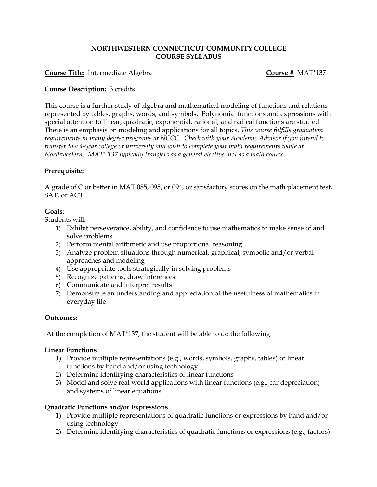#### **NORTHWESTERN CONNECTICUT COMMUNITY COLLEGE COURSE SYLLABUS**

#### **Course Title:** Intermediate Algebra **Course #** MAT\*137

#### **Course Description:** 3 credits

This course is a further study of algebra and mathematical modeling of functions and relations represented by tables, graphs, words, and symbols. Polynomial functions and expressions with special attention to linear, quadratic, exponential, rational, and radical functions are studied. There is an emphasis on modeling and applications for all topics. *This course fulfills graduation requirements in many degree programs at NCCC. Check with your Academic Advisor if you intend to transfer to a 4-year college or university and wish to complete your math requirements while at Northwestern. MAT\* 137 typically transfers as a general elective, not as a math course.*

## **Prerequisite:**

A grade of C or better in MAT 085, 095, or 094, or satisfactory scores on the math placement test, SAT, or ACT.

### **Goals**:

Students will:

- 1) Exhibit perseverance, ability, and confidence to use mathematics to make sense of and solve problems
- 2) Perform mental arithmetic and use proportional reasoning
- 3) Analyze problem situations through numerical, graphical, symbolic and/or verbal approaches and modeling
- 4) Use appropriate tools strategically in solving problems
- 5) Recognize patterns, draw inferences
- 6) Communicate and interpret results
- 7) Demonstrate an understanding and appreciation of the usefulness of mathematics in everyday life

#### **Outcomes:**

At the completion of MAT\*137, the student will be able to do the following:

#### **Linear Functions**

- 1) Provide multiple representations (e.g., words, symbols, graphs, tables) of linear functions by hand and/or using technology
- 2) Determine identifying characteristics of linear functions
- 3) Model and solve real world applications with linear functions (e.g., car depreciation) and systems of linear equations

#### **Quadratic Functions and/or Expressions**

- 1) Provide multiple representations of quadratic functions or expressions by hand and/or using technology
- 2) Determine identifying characteristics of quadratic functions or expressions (e.g., factors)